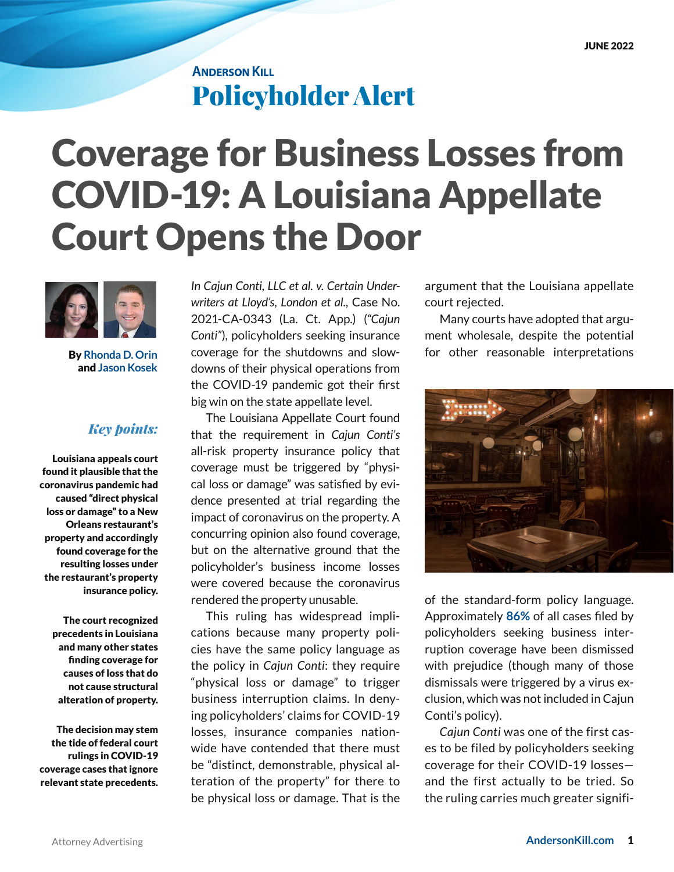## **ANDERSON KILL** Policyholder Alert

## Coverage for Business Losses from COVID-19: A Louisiana Appellate Court Opens the Door



By **[Rhonda D. Orin](https://www.andersonkill.com/People/Rhonda-D-Orin)**  and **[Jason Kosek](https://www.andersonkill.com/People/Jason-Kosek)**

## *Key points:*

 Louisiana appeals court found it plausible that the coronavirus pandemic had caused "direct physical loss or damage" to a New Orleans restaurant's property and accordingly found coverage for the resulting losses under the restaurant's property insurance policy.

The court recognized precedents in Louisiana and many other states finding coverage for causes of loss that do not cause structural alteration of property.

The decision may stem the tide of federal court rulings in COVID-19 coverage cases that ignore relevant state precedents. *In Cajun Conti, LLC et al. v. Certain Underwriters at Lloyd's, London et al.,* Case No. 2021-CA-0343 (La. Ct. App.) (*"Cajun Conti"*), policyholders seeking insurance coverage for the shutdowns and slowdowns of their physical operations from the COVID-19 pandemic got their first big win on the state appellate level.

The Louisiana Appellate Court found that the requirement in *Cajun Conti's* all-risk property insurance policy that coverage must be triggered by "physical loss or damage" was satisfied by evidence presented at trial regarding the impact of coronavirus on the property. A concurring opinion also found coverage, but on the alternative ground that the policyholder's business income losses were covered because the coronavirus rendered the property unusable.

This ruling has widespread implications because many property policies have the same policy language as the policy in *Cajun Conti*: they require "physical loss or damage" to trigger business interruption claims. In denying policyholders' claims for COVID-19 losses, insurance companies nationwide have contended that there must be "distinct, demonstrable, physical alteration of the property" for there to be physical loss or damage. That is the

argument that the Louisiana appellate court rejected.

Many courts have adopted that argument wholesale, despite the potential for other reasonable interpretations



of the standard-form policy language. Approximately **[86%](https://cclt.law.upenn.edu/)** of all cases filed by policyholders seeking business interruption coverage have been dismissed with prejudice (though many of those dismissals were triggered by a virus exclusion, which was not included in Cajun Conti's policy).

*Cajun Conti* was one of the first cases to be filed by policyholders seeking coverage for their COVID-19 losses and the first actually to be tried. So the ruling carries much greater signifi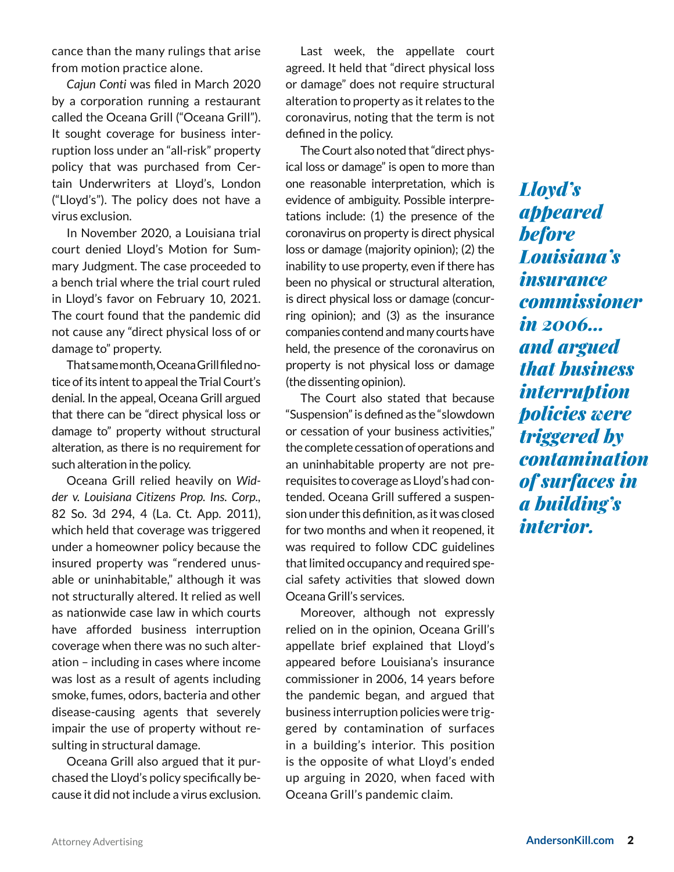cance than the many rulings that arise from motion practice alone.

*Cajun Conti* was filed in March 2020 by a corporation running a restaurant called the Oceana Grill ("Oceana Grill"). It sought coverage for business interruption loss under an "all-risk" property policy that was purchased from Certain Underwriters at Lloyd's, London ("Lloyd's"). The policy does not have a virus exclusion.

In November 2020, a Louisiana trial court denied Lloyd's Motion for Summary Judgment. The case proceeded to a bench trial where the trial court ruled in Lloyd's favor on February 10, 2021. The court found that the pandemic did not cause any "direct physical loss of or damage to" property.

That same month, Oceana Grill filed notice of its intent to appeal the Trial Court's denial. In the appeal, Oceana Grill argued that there can be "direct physical loss or damage to" property without structural alteration, as there is no requirement for such alteration in the policy.

Oceana Grill relied heavily on *Widder v. Louisiana Citizens Prop. Ins. Corp.,* 82 So. 3d 294, 4 (La. Ct. App. 2011), which held that coverage was triggered under a homeowner policy because the insured property was "rendered unusable or uninhabitable," although it was not structurally altered. It relied as well as nationwide case law in which courts have afforded business interruption coverage when there was no such alteration – including in cases where income was lost as a result of agents including smoke, fumes, odors, bacteria and other disease-causing agents that severely impair the use of property without resulting in structural damage.

Oceana Grill also argued that it purchased the Lloyd's policy specifically because it did not include a virus exclusion.

Last week, the appellate court agreed. It held that "direct physical loss or damage" does not require structural alteration to property as it relates to the coronavirus, noting that the term is not defined in the policy.

The Court also noted that "direct physical loss or damage" is open to more than one reasonable interpretation, which is evidence of ambiguity. Possible interpretations include: (1) the presence of the coronavirus on property is direct physical loss or damage (majority opinion); (2) the inability to use property, even if there has been no physical or structural alteration, is direct physical loss or damage (concurring opinion); and (3) as the insurance companies contend and many courts have held, the presence of the coronavirus on property is not physical loss or damage (the dissenting opinion).

The Court also stated that because "Suspension" is defined as the "slowdown or cessation of your business activities," the complete cessation of operations and an uninhabitable property are not prerequisites to coverage as Lloyd's had contended. Oceana Grill suffered a suspension under this definition, as it was closed for two months and when it reopened, it was required to follow CDC guidelines that limited occupancy and required special safety activities that slowed down Oceana Grill's services.

Moreover, although not expressly relied on in the opinion, Oceana Grill's appellate brief explained that Lloyd's appeared before Louisiana's insurance commissioner in 2006, 14 years before the pandemic began, and argued that business interruption policies were triggered by contamination of surfaces in a building's interior. This position is the opposite of what Lloyd's ended up arguing in 2020, when faced with Oceana Grill's pandemic claim.

*Lloyd's appeared before Louisiana's insurance commissioner in 2006… and argued that business interruption policies were triggered by contamination of surfaces in a building's interior.*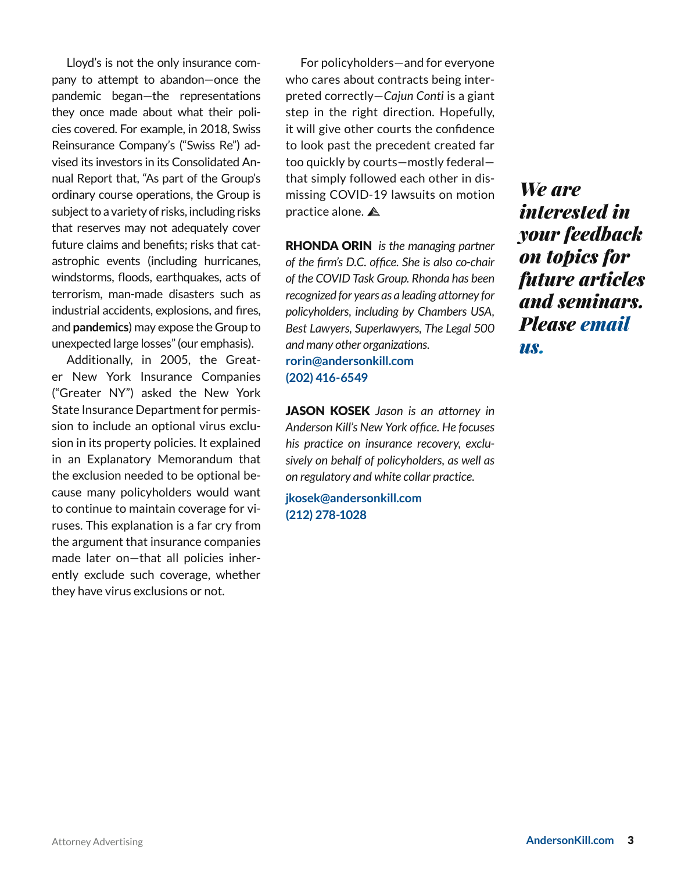Lloyd's is not the only insurance company to attempt to abandon—once the pandemic began—the representations they once made about what their policies covered. For example, in 2018, Swiss Reinsurance Company's ("Swiss Re") advised its investors in its Consolidated Annual Report that, "As part of the Group's ordinary course operations, the Group is subject to a variety of risks, including risks that reserves may not adequately cover future claims and benefits; risks that catastrophic events (including hurricanes, windstorms, floods, earthquakes, acts of terrorism, man-made disasters such as industrial accidents, explosions, and fires, and **pandemics**) may expose the Group to unexpected large losses" (our emphasis).

Additionally, in 2005, the Greater New York Insurance Companies ("Greater NY") asked the New York State Insurance Department for permission to include an optional virus exclusion in its property policies. It explained in an Explanatory Memorandum that the exclusion needed to be optional because many policyholders would want to continue to maintain coverage for viruses. This explanation is a far cry from the argument that insurance companies made later on—that all policies inherently exclude such coverage, whether they have virus exclusions or not.

For policyholders—and for everyone who cares about contracts being interpreted correctly—*Cajun Conti* is a giant step in the right direction. Hopefully, it will give other courts the confidence to look past the precedent created far too quickly by courts—mostly federal that simply followed each other in dismissing COVID-19 lawsuits on motion practice alone.

RHONDA ORIN *is the managing partner of the firm's D.C. office. She is also co-chair of the COVID Task Group. Rhonda has been recognized for years as a leading attorney for policyholders, including by Chambers USA, Best Lawyers, Superlawyers, The Legal 500 and many other organizations.* **[rorin@andersonkill.com](mailto:rorin%40andersonkill.com?subject=) [\(202\) 416-6549](tel:2024166549)**

JASON KOSEK *Jason is an attorney in Anderson Kill's New York office. He focuses his practice on insurance recovery, exclusively on behalf of policyholders, as well as on regulatory and white collar practice.*

**[jkosek@andersonkill.com](mailto:jkosek%40andersonkill.com?subject=) [\(212\) 278-1028](tel:2122781028)**

*We are interested in your feedback on topics for future articles and seminars. Please [email](mailto:information%40andersonkill.com?subject=)  [us](mailto:information%40andersonkill.com?subject=).*